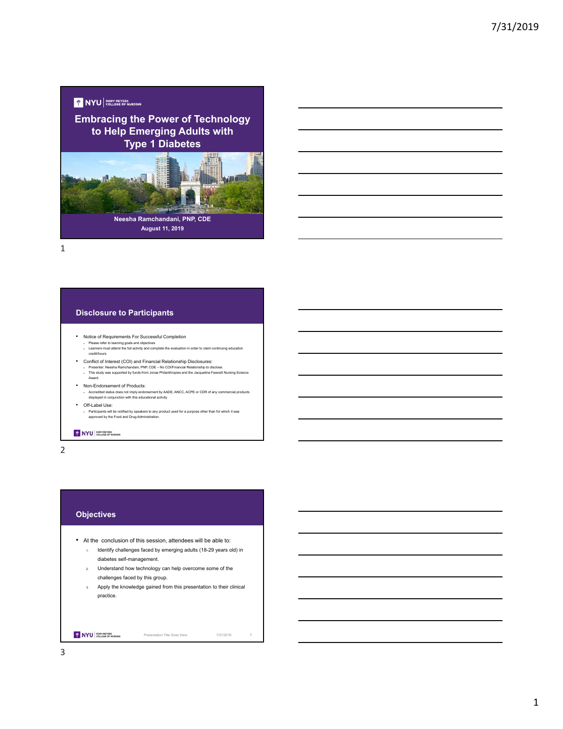## **Y** NYU EORY MEYERS

### **Embracing the Power of Technology to Help Emerging Adults with Type 1 Diabetes**



1

#### **Disclosure to Participants**

- Notice of Requirements For Successful Completion
- <sup>o</sup> Please refer to learning goals and objectives <sup>o</sup> Learners must attend the full activity and complete the evaluation in order to claim continuing education credit/hours
- 
- Conflict of Interest (COI) and Financial Relationship Disclosures:<br>Presenter: Neesha Ramchandani, PNP, CDE No COUFinancial Relationship to disclose.<br>This study was supported by funds from Jonas Philanthropies and the Award.
- Non-Endorsement of Products:
	- <sup>o</sup> Accredited status does not imply endorsement by AADE, ANCC, ACPE or CDR of any commercial products displayed in conjunction with this educational activity
- Off-Label Use:
	- <sup>o</sup> Participants will be notified by speakers to any product used for a purpose other than for which it was approved by the Food and Drug Administration.

#### NYU RORY MEVERS

2

#### **Objectives**

- At the conclusion of this session, attendees will be able to:
	- 1. Identify challenges faced by emerging adults (18-29 years old) in diabetes self-management.
	- 2. Understand how technology can help overcome some of the challenges faced by this group.
	- 3. Apply the knowledge gained from this presentation to their clinical practice.

NYU ROEV MEVERS

Presentation Title Goes Here 7/31/2019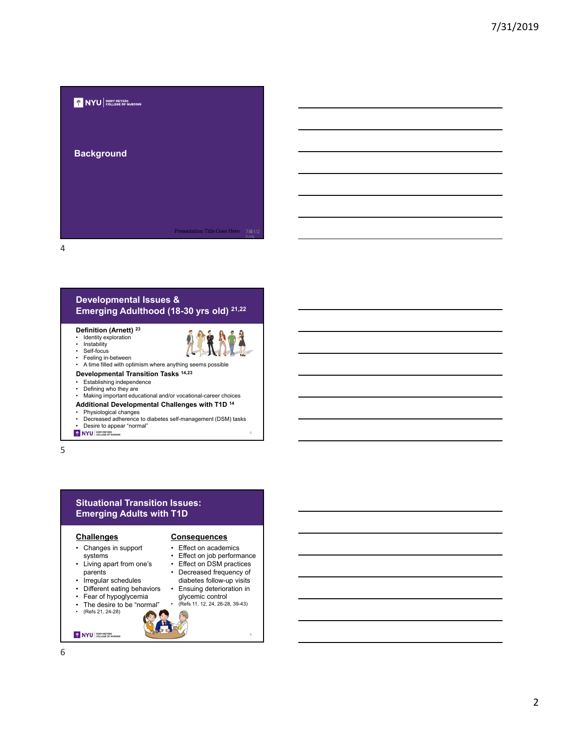

### **Developmental Issues & Emerging Adulthood (18-30 yrs old) 21,22**

### **Definition (Arnett) 23**

Identity exploration **Instability** 



Self-focus





- **Developmental Transition Tasks 14,23**
- Establishing independence
- Defining who they are
- Making important educational and/or vocational-career choices
- **Additional Developmental Challenges with T1D 14**
- Physiological changes
- Decreased adherence to diabetes self-management (DSM) tasks Desire to appear "normal"
- 

5

### **Situational Transition Issues: Emerging Adults with T1D**

#### **Challenges**

- Changes in support systems
- Living apart from one's parents
- Irregular schedules
- Different eating behaviors
- Fear of hypoglycemia
- The desire to be "normal"
- (Refs 21, 24-28)

### **Consequences**

- Effect on academics
- Effect on job performance
- Effect on DSM practices
- Decreased frequency of diabetes follow-up visits
- Ensuing deterioration in
- glycemic control (Refs 11, 12, 24, 26-28, 39-43)
-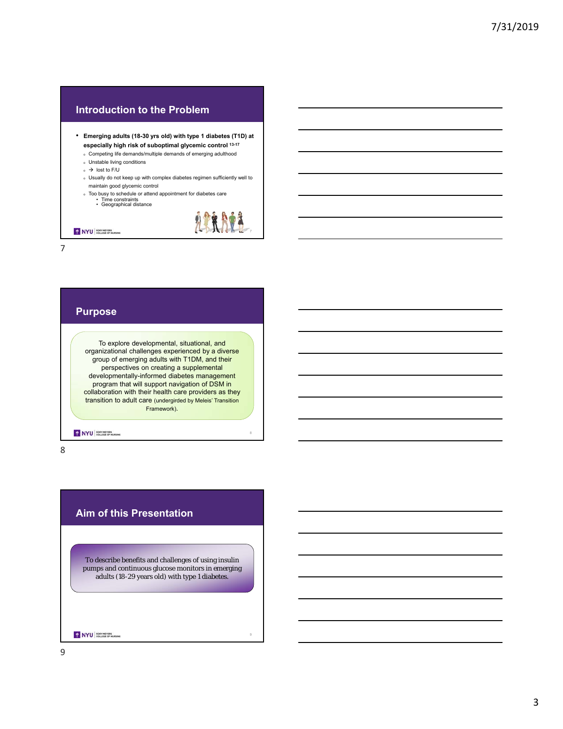# **Introduction to the Problem**

• **Emerging adults (18-30 yrs old) with type 1 diabetes (T1D) at especially high risk of suboptimal glycemic control 13-17**

- <sup>o</sup> Competing life demands/multiple demands of emerging adulthood
- <sup>o</sup> Unstable living conditions
- $\circ$   $\rightarrow$  lost to F/U
- <sup>o</sup> Usually do not keep up with complex diabetes regimen sufficiently well to maintain good glycemic control

7

2998

8

9

- <sup>o</sup> Too busy to schedule or attend appointment for diabetes care
- Time constraints Geographical distance

NYU COLLEGE OF NURSING

7

### **Purpose**

To explore developmental, situational, and organizational challenges experienced by a diverse group of emerging adults with T1DM, and their perspectives on creating a supplemental developmentally-informed diabetes management program that will support navigation of DSM in collaboration with their health care providers as they transition to adult care (undergirded by Meleis' Transition Framework).

NYU RORY MEVERS

8

### **Aim of this Presentation**

To describe benefits and challenges of using insulin pumps and continuous glucose monitors in emerging adults (18-29 years old) with type 1 diabetes.

NYU COLLEGE OF HURSING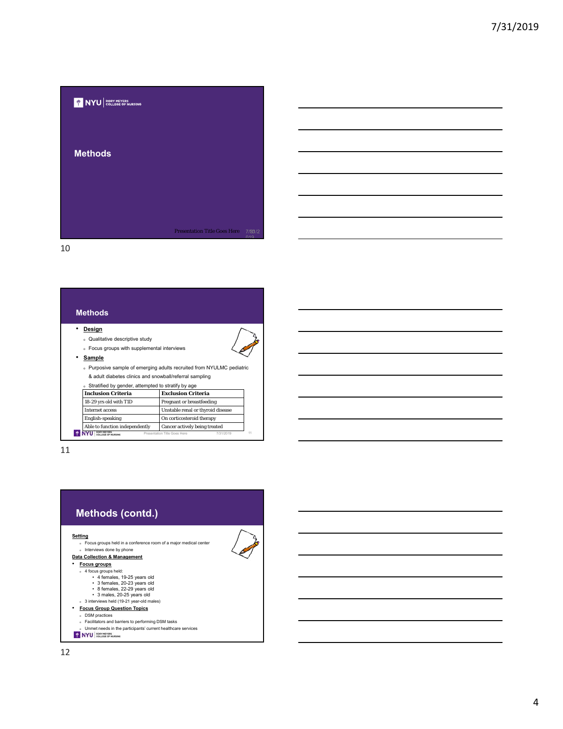

### **Methods**

- **Design**
	- <sup>o</sup> Qualitative descriptive study
	- <sup>o</sup> Focus groups with supplemental interviews
- **Sample**
- 
- <sup>o</sup> Purposive sample of emerging adults recruited from NYULMC pediatric & adult diabetes clinics and snowball/referral sampling
- Stratified by gender, attempted to stratify by age

| <b>Inclusion Criteria</b>                          |  | <b>Exclusion Criteria</b>         |           |  |
|----------------------------------------------------|--|-----------------------------------|-----------|--|
| 18-29 yrs old with T1D                             |  | Pregnant or breastfeeding         |           |  |
| <b>Internet access</b>                             |  | Unstable renal or thyroid disease |           |  |
| English-speaking<br>Able to function independently |  | On corticosteroid therapy         |           |  |
|                                                    |  | Cancer actively being treated     |           |  |
|                                                    |  | Presentation Title Goes Here      | 7/31/2019 |  |

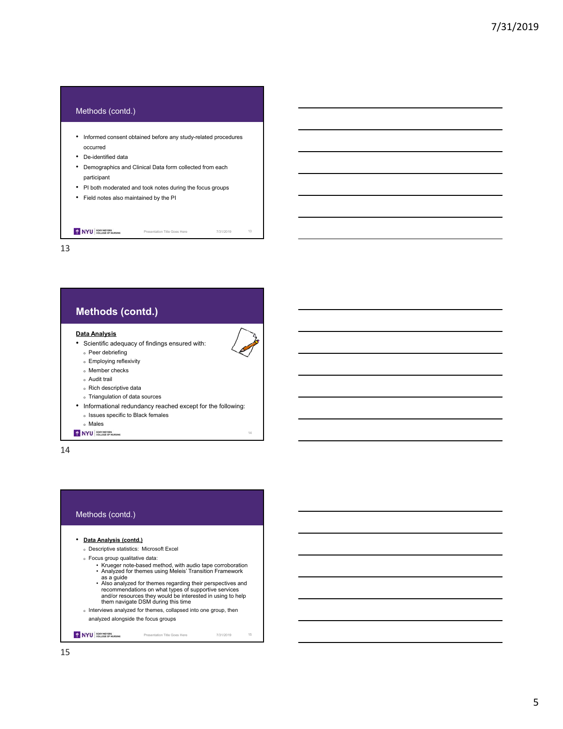

# **Methods (contd.)**

#### **Data Analysis**

- Scientific adequacy of findings ensured with:
	- <sup>o</sup> Peer debriefing
	- <sup>o</sup> Employing reflexivity
	- <sup>o</sup> Member checks
	- <sup>o</sup> Audit trail
	- <sup>o</sup> Rich descriptive data
	- <sup>o</sup> Triangulation of data sources
- Informational redundancy reached except for the following:

14

- <sup>o</sup> Issues specific to Black females
- <sup>o</sup> Males NYU BORY MEYERS

14

#### Methods (contd.)

#### • **Data Analysis (contd.)**

- <sup>o</sup> Descriptive statistics: Microsoft Excel
- <sup>o</sup> Focus group qualitative data:
	- Krueger note-based method, with audio tape corroboration Analyzed for themes using Meleis' Transition Framework
	- as a guide<br>• Also analyzed for themes regarding their perspectives and<br>recommendations on what types of supportive services<br>and/or resources they would be interested in using to help<br>them navigate DSM during this time

Presentation Title Goes Here 7/31/2019 15

- <sup>o</sup> Interviews analyzed for themes, collapsed into one group, then analyzed alongside the focus groups
- NYU COLLEGE OF HURSING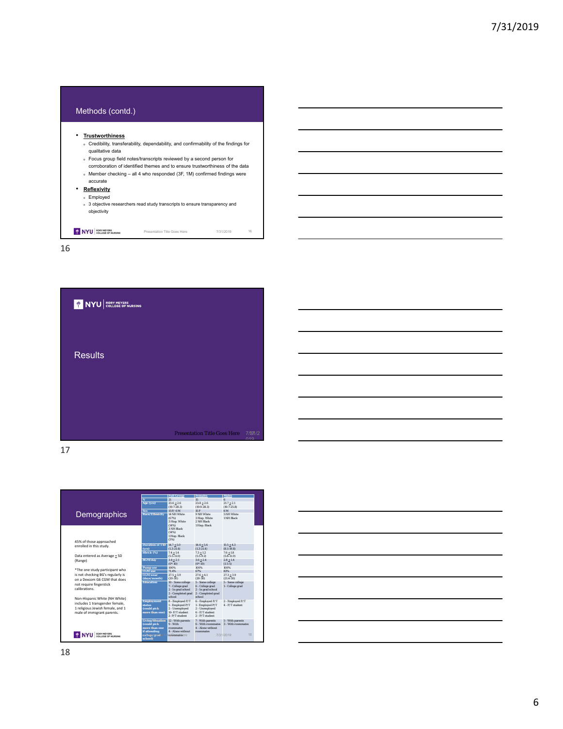



17

|                                   |                              | <b>Full Group</b>                        | <b>Females</b>                           | <b>Males</b>             |
|-----------------------------------|------------------------------|------------------------------------------|------------------------------------------|--------------------------|
|                                   | N                            | 21                                       | 15                                       | $\mathbf{g}$             |
|                                   | Age (yrs)                    | $23.6 + 2.6$                             | $23.8 + 2.6$                             | $21.7 + 2.1$             |
|                                   | Sex                          | $(19.7 - 28.3)$<br>$15$ F/ $6$ M         | $(19.9 - 28.3)$<br>15F                   | $(19.7 - 25.8)$<br>6M    |
| Demographics                      | <b>Race/Ethnicity</b>        | 14 NH White                              | 9 NH White                               | 5 NH White               |
|                                   |                              | (67%)                                    | 3 Hisp. White                            | 1 NH Rlack               |
|                                   |                              | 3 Hisp. White                            | 2 NH Black                               |                          |
|                                   |                              | (14%)                                    | 1 Hisp. Black                            |                          |
|                                   |                              | 3 NH Black                               |                                          |                          |
|                                   |                              | (14%)                                    |                                          |                          |
|                                   |                              | 1 Hisp. Black                            |                                          |                          |
| 45% of those approached           |                              | (5%)                                     |                                          |                          |
| enrolled in this study.           | Duration of T1D $14.7 + 5.0$ |                                          | $14.4 + 5.4$                             | $15.5 + 4.3$             |
|                                   | (vrs)                        | $(1.3 - 21.4)$                           | $(1.3 - 21.4)$                           | $(8.1 - 19.8)$           |
|                                   | HbA1c (%)                    | $7.4 + 1.4$                              | $7.3 + 1.2$                              | $7.6 + 1.8$              |
| Data entered as Average + SD      |                              | $(5.5-11.0)$                             | $(5.5-9.2)$                              | $(5.8-11.0)$             |
| (Range)                           | <b>BGM/day</b>               | $3.4 + 2.1$<br>$(0^* - 10)$              | $3.6 + 2.4$<br>$(0^* - 10)$              | $2.8 + 1.4$<br>$(1.5-5)$ |
|                                   | <b>Pump</b> use              | 100%                                     | 100%                                     | 100%                     |
| *The one study participant who    | CGM use                      | 71.4%                                    | 67%                                      | 83%                      |
| is not checking BG's regularly is | <b>CGM</b> wear              | $27.5 + 3.9$                             | $27.6 + 4.1$                             | $27.3 + 3.9$             |
| on a Dexcom G6 CGM that does      | (days/month)                 | $(20-30)$                                | $(20-30)$                                | $(21.4 - 30)$            |
| not require fingerstick           | <b>Education</b>             | 10 - Some college                        | 5 - Some college                         | 5 - Some college         |
| calibrations.                     |                              | 7 - College grad                         | 6 - College grad                         | 1 - College grad         |
|                                   |                              | 2 - In grad school<br>2 - Completed grad | 2 - In grad school<br>2 - Completed grad |                          |
|                                   |                              | school                                   | school                                   |                          |
| Non-Hispanic White (NH White)     | <b>Employment</b>            | 8 - Employed F/T                         | 6 - Employed F/T                         | 2 - Employed F/T         |
| includes 1 transgender female,    | status                       | 1 - Employed P/T                         | 1 - Employed P/T                         | $4$ - $F/T$ student      |
| 1 religious Jewish female, and 1  | (could pick                  | 2 - Unemployed                           | 2 - Unemployed                           |                          |
| male of immigrant parents.        | more than one)               | 10- F/T student                          | 6 - F/T student                          |                          |
|                                   |                              | 2-P/T student                            | 2 - P/T student                          |                          |
|                                   | <b>Living Situation</b>      | 12 - With parents                        | 7 - With parents                         | 5 - With parents         |
|                                   | (could pick                  | $9 - With$                               | 6 - With mommates                        | 3 - With roommates       |
|                                   | more than one                | roommates                                | 4 - Alone without                        |                          |
|                                   | if attending<br>college/grad | 4 - Alone without<br>roommatesere        | roommates                                | 7/31/2019<br>18          |
| COLLEGE OF HURSING                | <b>Goods</b>                 |                                          |                                          |                          |

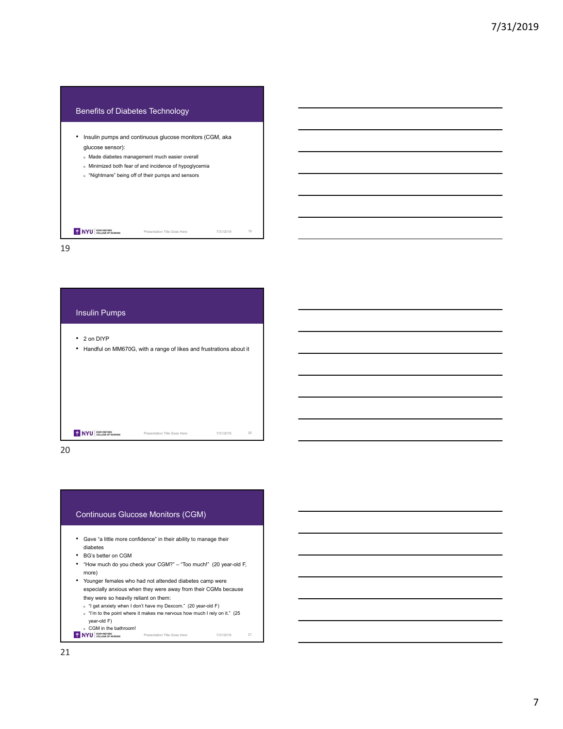



20

#### Continuous Glucose Monitors (CGM)

- Gave "a little more confidence" in their ability to manage their diabetes
- BG's better on CGM
- "How much do you check your CGM?" "Too much!" (20 year-old F, more)
- Younger females who had not attended diabetes camp were especially anxious when they were away from their CGMs because they were so heavily reliant on them:
	- <sup>o</sup> "I get anxiety when I don't have my Dexcom." (20 year-old F)
	- $\degree$  "I'm to the point where it makes me nervous how much I rely on it." (25
	- year-old F)
- o CGM in the bathroom! Presentation Title Goes Here 7/31/2019 21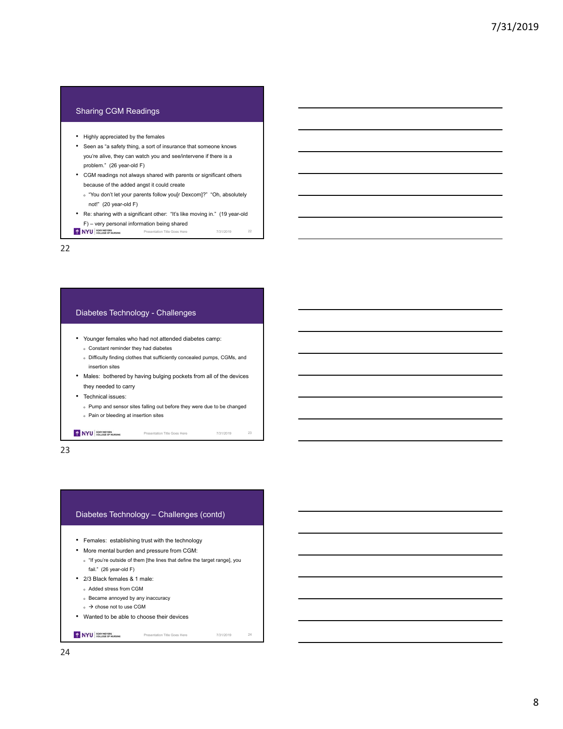### Sharing CGM Readings

- Highly appreciated by the females
- Seen as "a safety thing, a sort of insurance that someone knows you're alive, they can watch you and see/intervene if there is a problem." (26 year-old F)
- CGM readings not always shared with parents or significant others because of the added angst it could create
- <sup>o</sup> "You don't let your parents follow you[r Dexcom]?" "Oh, absolutely not!" (20 year-old F)
- Re: sharing with a significant other: "It's like moving in." (19 year-old  $F$ ) – very personal information being shared<br> **TRYU COLLECT CONSUMER** Presentation Title Goes Here Presentation Company 22 and the Figure State Goes 22

22



23

#### Diabetes Technology – Challenges (contd)

- Females: establishing trust with the technology
- More mental burden and pressure from CGM:
- <sup>o</sup> "If you're outside of them [the lines that define the target range], you fail." (26 year-old F)
- 2/3 Black females & 1 male:
- <sup>o</sup> Added stress from CGM
- <sup>o</sup> Became annoyed by any inaccuracy
- $\alpha \rightarrow$  chose not to use CGM

NYU COLLEGE OF NURSING

• Wanted to be able to choose their devices

Presentation Title Goes Here 7/31/2019 24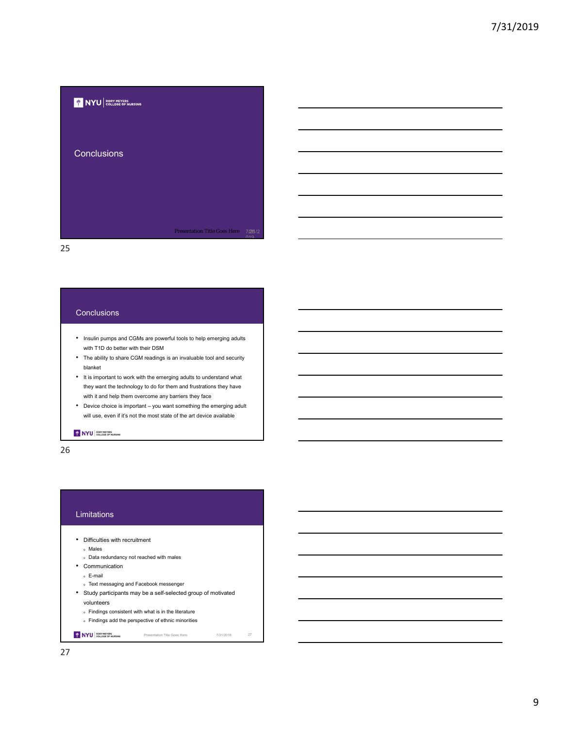

#### **Conclusions**

- Insulin pumps and CGMs are powerful tools to help emerging adults with T1D do better with their DSM
- The ability to share CGM readings is an invaluable tool and security blanket
- It is important to work with the emerging adults to understand what they want the technology to do for them and frustrations they have with it and help them overcome any barriers they face
- Device choice is important you want something the emerging adult will use, even if it's not the most state of the art device available

#### NYU RORY MEVERS

26

#### Limitations

- Difficulties with recruitment
	- <sup>o</sup> Males
	- <sup>o</sup> Data redundancy not reached with males
- Communication

NYU ROSY MEVERS

- <sup>o</sup> E-mail
- <sup>o</sup> Text messaging and Facebook messenger
- Study participants may be a self-selected group of motivated volunteers
	- <sup>o</sup> Findings consistent with what is in the literature
	- <sup>o</sup> Findings add the perspective of ethnic minorities

Presentation Title Goes Here 7/31/2019 27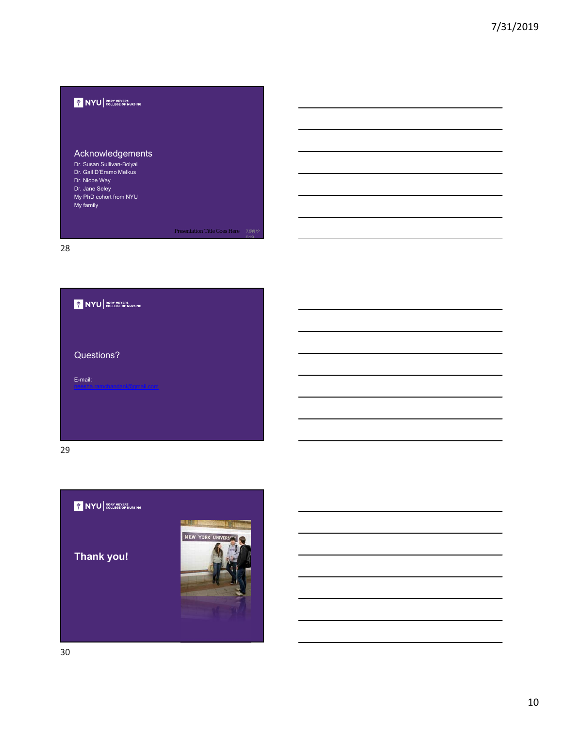# WINYU COLLEGE OF NURSING

### Acknowledgements

Dr. Susan Sullivan-Bolyai Dr. Gail D'Eramo Melkus Dr. Niobe Way Dr. Jane Seley My PhD cohort from NYU My family

Presentation Title Goes Here 7/281/2

28

| WE NYU SOLLEGE OF NURSING |  |
|---------------------------|--|
| Questions?<br>E-mail:     |  |
| ı ramchandani@omail.com   |  |

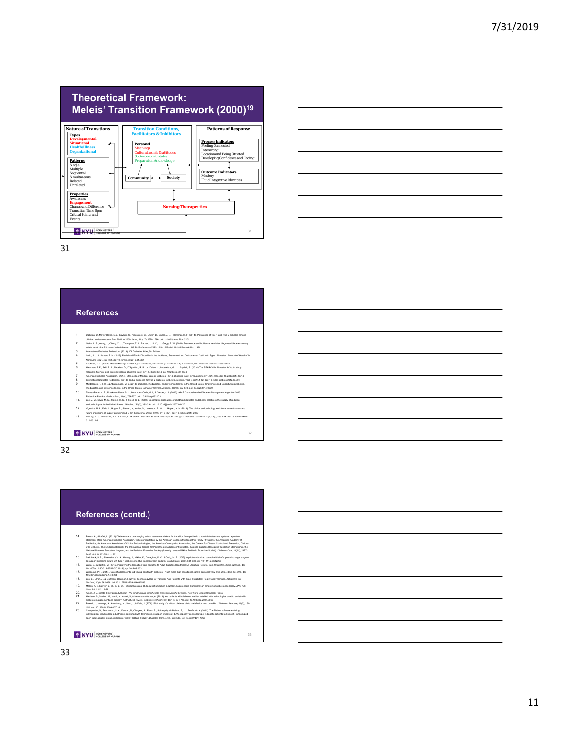### **Theoretical Framework: Meleis' Transition Framework (2000)19**





31

#### **References**

- 
- 
- 
- 
- 
- 1. Dabelea, D., Mayer-Davis, E. J., Saydah, S., Imperatore, G., Linder, B., Divers, J., . . . Hamman, R. F. (2014). Prevalence of type 1 and type 2 diabetes among children and adolescents from 2001 to 2009. *Jama, 311*(17), 1778-1786. doi: 10.1001/jama.2014.3201 2. Geiss, L. S., Wang, J., Cheng, Y. J., Thompson, T. J., Barker, L., Li, Y., . . . Gregg, E. W. (2014). Prevalence and incidence trends for diagnosed diabetes among adults aged 20 to 79 years, United States, 1980-2012. *Jama, 312*(12), 1218-1226. doi: 10.1001/jama.2014.11494 3. International Diabetes Federation. (2013). IDF Diabetes Atlas, 6th Edition. 4. Lado, J. J., & Lipman, T. H. (2016). Racial and Ethnic Disparities in the Incidence, Treatment, and Outcomes of Youth with Type 1 Diabetes. *Endocrinol Metab Clin North Am, 45*(2), 453-461. doi: 10.1016/j.ecl.2016.01.002 5. Kaufman, F. E. (2012). *Medical Management of Type 1 Diabetes, 6th edition* (F. Kaufman Ed.). Alexandria, VA: American Diabetes Association. 6. Hamman, R. F., Bell, R. A., Dabelea, D., D'Agostino, R. B., Jr., Dolan, L., Imperatore, G., . . . Saydah, S. (2014). The SEARCH for Diabetes in Youth study: rationale, findings, and future directions. *Diabetes Care, 37*(12), 3336-3344. doi: 10.2337/dc14-0574 7. American Diabetes Association. (2014). Standards of Medical Care in Diabetes—2014. *Diabetes Care, 37*(Supplement 1), S14-S80. doi: 10.2337/dc14-S014 8. International Diabetes Federation. (2014). Global guideline for type 2 diabetes. *Diabetes Res Clin Pract, 104*(1), 1-52. doi: 10.1016/j.diabres.2012.10.001 9. Middelbeek, R. J. W., & Abrahamson, M. J. (2014). Diabetes, Prediabetes, and Glycemic Control in the United States: Challenges and OpportunitiesDiabetes, Prediabetes, and Glycemic Control in the United States. *Annals of Internal Medicine, 160*(8), 572-573. doi: 10.7326/M14-0539 10. Tamez-Perez, H. E., Proskauer-Pena, S. L., Hernrndez-Coria, M. I., & Garber, A. J. (2013). AACE Comprehensive Diabetes Management Algorithm 2013. Endocrine Practice. *Endocr Pract, 19*(4), 736-737. doi: 10.4158/ep13210.lt 11. Lee, J. M., Davis, M. M., Menon, R. K., & Freed, G. L. (2008). Geographic distribution of childhood diabetes and obesity relative to the supply of pediatric endocrinologists in the United States. *J Pediatr, 152*(3), 331-336. doi: 10.1016/j.jpeds.2007.08.037 12. Vigersky, R. A., Fish, L., Hogan, P., Stewart, A., Kutler, S., Ladenson, P. W., . . . Hupart, K. H. (2014). The clinical endocrinology workforce: current status and future projections of supply and demand. *J Clin Endocrinol Metab, 99*(9), 3112-3121. doi: 10.1210/jc.2014-2257 13. Garvey, K. C., Markowitz, J. T., & Laffel, L. M. (2012). Transition to adult care for youth with type 1 diabetes. *Curr Diab Rep, 12*(5), 533-541. doi: 10.1007/s11892- 012-0311-6
- 
- 
- 
- 

32

33

#### WYU BORY MEYERS

32

#### **References (contd.)**

- 14. Peters, A. L. Lathtt, L. Christiania and for energies also acceled the transition in probabilities and dislocations and the state of the state of the state of the state of the state of the state of the state of the st
- 
- 
- 
- 
- 
- 
- 
- 

### NYU ROEV MEVERS